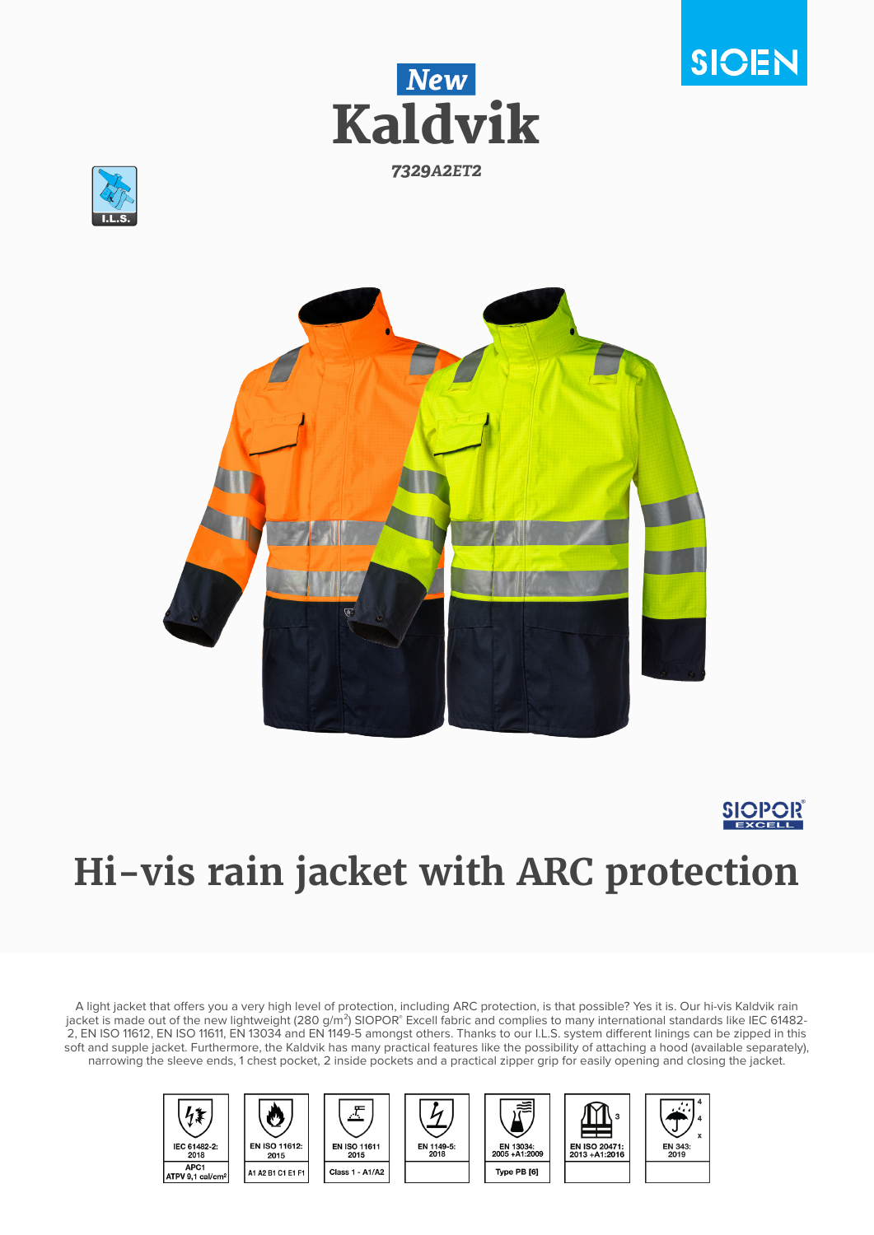









# **Hi-vis rain jacket with ARC protection**

A light jacket that offers you a very high level of protection, including ARC protection, is that possible? Yes it is. Our hi-vis Kaldvik rain jacket is made out of the new lightweight (280 g/m²) SIOPOR® Excell fabric and complies to many international standards like IEC 61482-2, EN ISO 11612, EN ISO 11611, EN 13034 and EN 1149-5 amongst others. Thanks to our I.L.S. system different linings can be zipped in this soft and supple jacket. Furthermore, the Kaldvik has many practical features like the possibility of attaching a hood (available separately), narrowing the sleeve ends, 1 chest pocket, 2 inside pockets and a practical zipper grip for easily opening and closing the jacket.